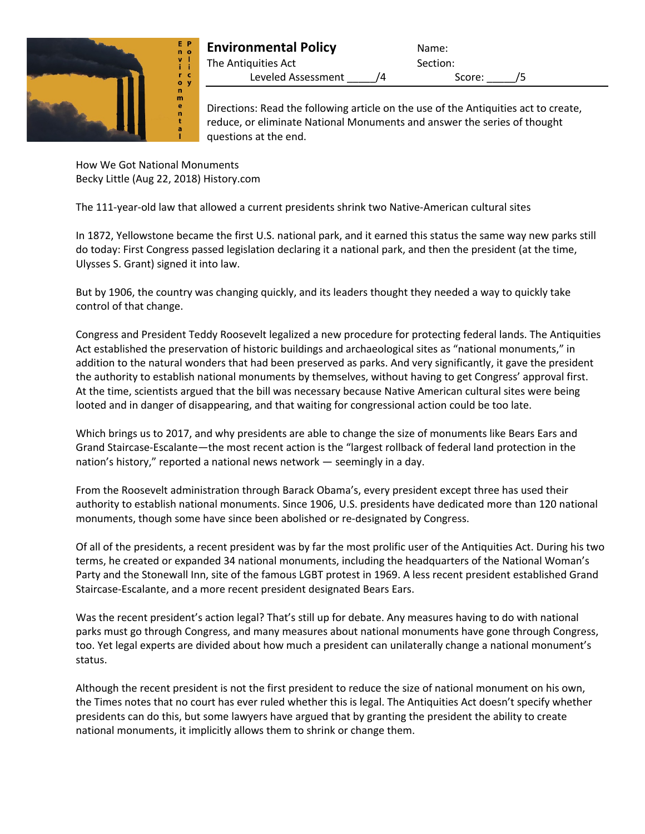

## **Environmental Policy** Name: The Antiquities Act Section:

Leveled Assessment  $\sqrt{4}$  Score:  $\sqrt{5}$ 

Directions: Read the following article on the use of the Antiquities act to create, reduce, or eliminate National Monuments and answer the series of thought questions at the end.

How We Got National Monuments Becky Little (Aug 22, 2018) History.com

The 111-year-old law that allowed a current presidents shrink two Native-American cultural sites

In 1872, Yellowstone became the first U.S. national park, and it earned this status the same way new parks still do today: First Congress passed legislation declaring it a national park, and then the president (at the time, Ulysses S. Grant) signed it into law.

But by 1906, the country was changing quickly, and its leaders thought they needed a way to quickly take control of that change.

Congress and President Teddy Roosevelt legalized a new procedure for protecting federal lands. The Antiquities Act established the preservation of historic buildings and archaeological sites as "national monuments," in addition to the natural wonders that had been preserved as parks. And very significantly, it gave the president the authority to establish national monuments by themselves, without having to get Congress' approval first. At the time, scientists argued that the bill was necessary because Native American cultural sites were being looted and in danger of disappearing, and that waiting for congressional action could be too late.

Which brings us to 2017, and why presidents are able to change the size of monuments like Bears Ears and Grand Staircase-Escalante—the most recent action is the "largest rollback of federal land protection in the nation's history," reported a national news network — seemingly in a day.

From the Roosevelt administration through Barack Obama's, every president except three has used their authority to establish national monuments. Since 1906, U.S. presidents have dedicated more than 120 national monuments, though some have since been abolished or re-designated by Congress.

Of all of the presidents, a recent president was by far the most prolific user of the Antiquities Act. During his two terms, he created or expanded 34 national monuments, including the headquarters of the National Woman's Party and the Stonewall Inn, site of the famous LGBT protest in 1969. A less recent president established Grand Staircase-Escalante, and a more recent president designated Bears Ears.

Was the recent president's action legal? That's still up for debate. Any measures having to do with national parks must go through Congress, and many measures about national monuments have gone through Congress, too. Yet legal experts are divided about how much a president can unilaterally change a national monument's status.

Although the recent president is not the first president to reduce the size of national monument on his own, the Times notes that no court has ever ruled whether this is legal. The Antiquities Act doesn't specify whether presidents can do this, but some lawyers have argued that by granting the president the ability to create national monuments, it implicitly allows them to shrink or change them.